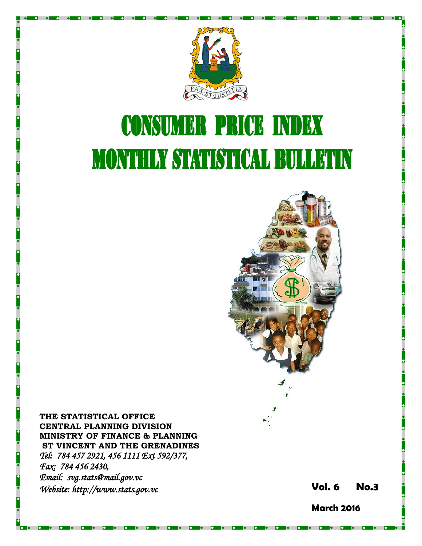

# **CONSUMER PRICE INDEX MONTHLY STATISTICAL BULLETIN**



**THE STATISTICAL OFFICE CENTRAL PLANNING DIVISION MINISTRY OF FINANCE & PLANNING ST VINCENT AND THE GRENADINES** *Tel: 784 457 2921, 456 1111 Ext 592/377, Fax: 784 456 2430, Email: svg.stats@mail.gov.vc Website: http://www.stats.gov.vc* **Vol. 6** 

**6 No. 3**

**March 2016**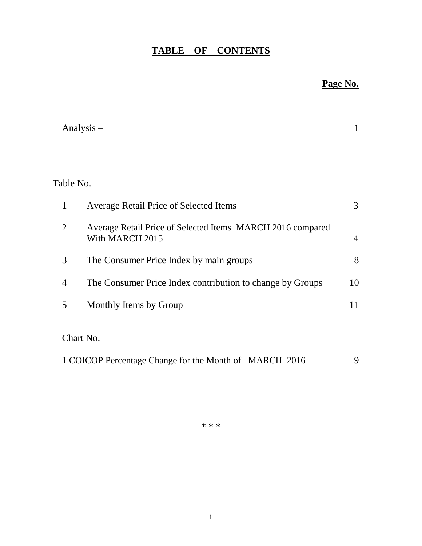## **TABLE OF CONTENTS**

## **Page No.**

|                | Analysis $-$                                                                  | 1  |
|----------------|-------------------------------------------------------------------------------|----|
|                |                                                                               |    |
| Table No.      |                                                                               |    |
| $\mathbf{1}$   | Average Retail Price of Selected Items                                        | 3  |
| $\overline{2}$ | Average Retail Price of Selected Items MARCH 2016 compared<br>With MARCH 2015 | 4  |
| 3              | The Consumer Price Index by main groups                                       | 8  |
| 4              | The Consumer Price Index contribution to change by Groups                     | 10 |
| 5              | Monthly Items by Group                                                        | 11 |
|                | Chart No.                                                                     |    |
|                | 1 COICOP Percentage Change for the Month of MARCH 2016                        | 9  |

\* \* \*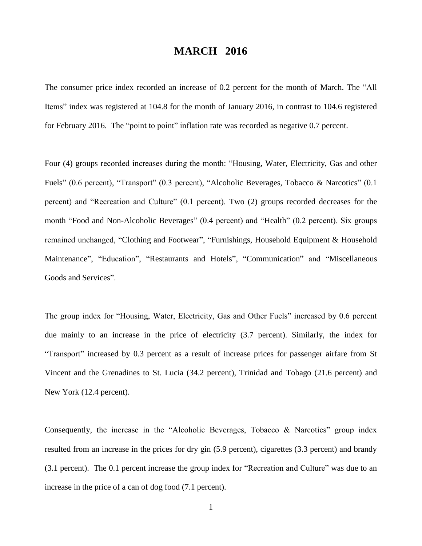### **MARCH 2016**

The consumer price index recorded an increase of 0.2 percent for the month of March. The "All Items" index was registered at 104.8 for the month of January 2016, in contrast to 104.6 registered for February 2016. The "point to point" inflation rate was recorded as negative 0.7 percent.

Four (4) groups recorded increases during the month: "Housing, Water, Electricity, Gas and other Fuels" (0.6 percent), "Transport" (0.3 percent), "Alcoholic Beverages, Tobacco & Narcotics" (0.1 percent) and "Recreation and Culture" (0.1 percent). Two (2) groups recorded decreases for the month "Food and Non-Alcoholic Beverages" (0.4 percent) and "Health" (0.2 percent). Six groups remained unchanged, "Clothing and Footwear", "Furnishings, Household Equipment & Household Maintenance", "Education", "Restaurants and Hotels", "Communication" and "Miscellaneous Goods and Services".

The group index for "Housing, Water, Electricity, Gas and Other Fuels" increased by 0.6 percent due mainly to an increase in the price of electricity (3.7 percent). Similarly, the index for "Transport" increased by 0.3 percent as a result of increase prices for passenger airfare from St Vincent and the Grenadines to St. Lucia (34.2 percent), Trinidad and Tobago (21.6 percent) and New York (12.4 percent).

Consequently, the increase in the "Alcoholic Beverages, Tobacco & Narcotics" group index resulted from an increase in the prices for dry gin (5.9 percent), cigarettes (3.3 percent) and brandy (3.1 percent). The 0.1 percent increase the group index for "Recreation and Culture" was due to an increase in the price of a can of dog food (7.1 percent).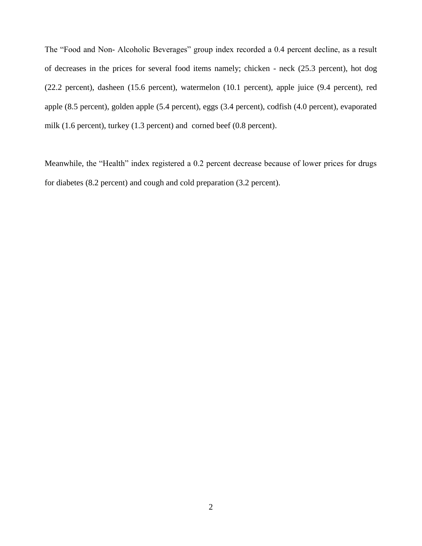The "Food and Non- Alcoholic Beverages" group index recorded a 0.4 percent decline, as a result of decreases in the prices for several food items namely; chicken - neck (25.3 percent), hot dog (22.2 percent), dasheen (15.6 percent), watermelon (10.1 percent), apple juice (9.4 percent), red apple (8.5 percent), golden apple (5.4 percent), eggs (3.4 percent), codfish (4.0 percent), evaporated milk (1.6 percent), turkey (1.3 percent) and corned beef (0.8 percent).

Meanwhile, the "Health" index registered a 0.2 percent decrease because of lower prices for drugs for diabetes (8.2 percent) and cough and cold preparation (3.2 percent).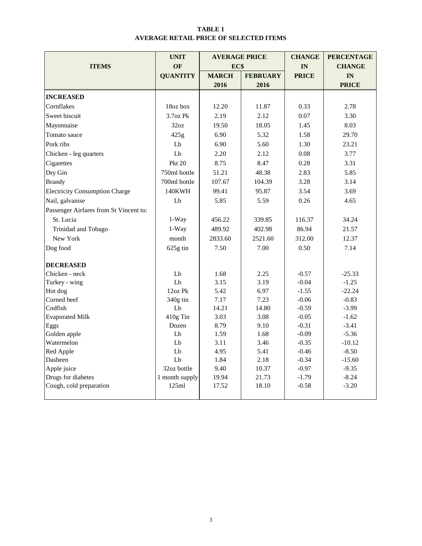#### **TABLE 1 AVERAGE RETAIL PRICE OF SELECTED ITEMS**

|                                        | <b>UNIT</b>     | <b>AVERAGE PRICE</b> |                 | <b>CHANGE</b> | <b>PERCENTAGE</b> |
|----------------------------------------|-----------------|----------------------|-----------------|---------------|-------------------|
| <b>ITEMS</b>                           | <b>OF</b>       | EC\$                 |                 | IN            | <b>CHANGE</b>     |
|                                        | <b>QUANTITY</b> | <b>MARCH</b>         | <b>FEBRUARY</b> | <b>PRICE</b>  | IN                |
|                                        |                 | 2016                 | 2016            |               | <b>PRICE</b>      |
| <b>INCREASED</b>                       |                 |                      |                 |               |                   |
| Cornflakes                             | 18oz box        | 12.20                | 11.87           | 0.33          | 2.78              |
| Sweet biscuit                          | 3.7oz Pk        | 2.19                 | 2.12            | 0.07          | 3.30              |
| Mayonnaise                             | 32oz            | 19.50                | 18.05           | 1.45          | 8.03              |
| Tomato sauce                           | 425g            | 6.90                 | 5.32            | 1.58          | 29.70             |
| Pork ribs                              | Lb              | 6.90                 | 5.60            | 1.30          | 23.21             |
| Chicken - leg quarters                 | Lb              | 2.20                 | 2.12            | 0.08          | 3.77              |
| Cigarettes                             | <b>Pkt 20</b>   | 8.75                 | 8.47            | 0.28          | 3.31              |
| Dry Gin                                | 750ml bottle    | 51.21                | 48.38           | 2.83          | 5.85              |
| <b>Brandy</b>                          | 700ml bottle    | 107.67               | 104.39          | 3.28          | 3.14              |
| <b>Electricity Consumption Charge</b>  | <b>140KWH</b>   | 99.41                | 95.87           | 3.54          | 3.69              |
| Nail, galvanise                        | Lb              | 5.85                 | 5.59            | 0.26          | 4.65              |
| Passenger Airfares from St Vincent to: |                 |                      |                 |               |                   |
| St. Lucia                              | $1-Way$         | 456.22               | 339.85          | 116.37        | 34.24             |
| Trinidad and Tobago                    | 1-Way           | 489.92               | 402.98          | 86.94         | 21.57             |
| New York                               | month           | 2833.60              | 2521.60         | 312.00        | 12.37             |
| Dog food                               | 625g tin        | 7.50                 | 7.00            | 0.50          | 7.14              |
| <b>DECREASED</b>                       |                 |                      |                 |               |                   |
| Chicken - neck                         | Lb              | 1.68                 | 2.25            | $-0.57$       | $-25.33$          |
| Turkey - wing                          | Lb              | 3.15                 | 3.19            | $-0.04$       | $-1.25$           |
| Hot dog                                | 12oz Pk         | 5.42                 | 6.97            | $-1.55$       | $-22.24$          |
| Corned beef                            | 340g tin        | 7.17                 | 7.23            | $-0.06$       | $-0.83$           |
| Codfish                                | Lb              | 14.21                | 14.80           | $-0.59$       | $-3.99$           |
| <b>Evaporated Milk</b>                 | 410g Tin        | 3.03                 | 3.08            | $-0.05$       | $-1.62$           |
| Eggs                                   | Dozen           | 8.79                 | 9.10            | $-0.31$       | $-3.41$           |
| Golden apple                           | Lb              | 1.59                 | 1.68            | $-0.09$       | $-5.36$           |
| Watermelon                             | Lb              | 3.11                 | 3.46            | $-0.35$       | $-10.12$          |
| Red Apple                              | ${\rm Lb}$      | 4.95                 | 5.41            | $-0.46$       | $-8.50$           |
| Dasheen                                | Lb              | 1.84                 | 2.18            | $-0.34$       | $-15.60$          |
| Apple juice                            | 32oz bottle     | 9.40                 | 10.37           | $-0.97$       | $-9.35$           |
| Drugs for diabetes                     | 1 month supply  | 19.94                | 21.73           | $-1.79$       | $-8.24$           |
| Cough, cold preparation                | 125ml           | 17.52                | 18.10           | $-0.58$       | $-3.20$           |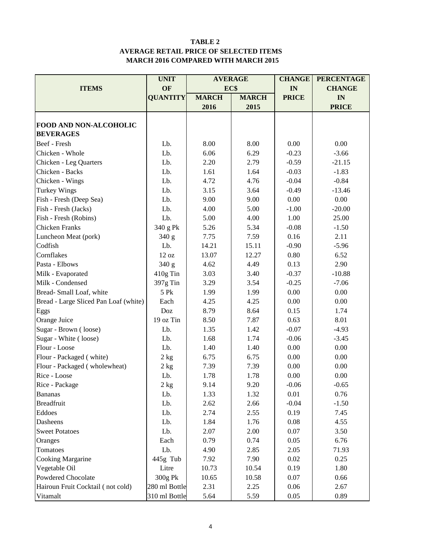#### **TABLE 2 AVERAGE RETAIL PRICE OF SELECTED ITEMS MARCH 2016 COMPARED WITH MARCH 2015**

|                                       | <b>UNIT</b>     |              | <b>AVERAGE</b> | <b>CHANGE</b> | <b>PERCENTAGE</b> |
|---------------------------------------|-----------------|--------------|----------------|---------------|-------------------|
| <b>ITEMS</b>                          | OF              | EC\$         |                | IN            | <b>CHANGE</b>     |
|                                       | <b>QUANTITY</b> | <b>MARCH</b> | <b>MARCH</b>   | <b>PRICE</b>  | IN                |
|                                       |                 | 2016         | 2015           |               | <b>PRICE</b>      |
|                                       |                 |              |                |               |                   |
| FOOD AND NON-ALCOHOLIC                |                 |              |                |               |                   |
| <b>BEVERAGES</b>                      |                 |              |                |               |                   |
| Beef - Fresh                          | Lb.             | 8.00         | 8.00           | 0.00          | 0.00              |
| Chicken - Whole                       | Lb.             | 6.06         | 6.29           | $-0.23$       | $-3.66$           |
| Chicken - Leg Quarters                | Lb.             | 2.20         | 2.79           | $-0.59$       | $-21.15$          |
| Chicken - Backs                       | Lb.             | 1.61         | 1.64           | $-0.03$       | $-1.83$           |
| Chicken - Wings                       | Lb.             | 4.72         | 4.76           | $-0.04$       | $-0.84$           |
| <b>Turkey Wings</b>                   | Lb.             | 3.15         | 3.64           | $-0.49$       | $-13.46$          |
| Fish - Fresh (Deep Sea)               | Lb.             | 9.00         | 9.00           | 0.00          | 0.00              |
| Fish - Fresh (Jacks)                  | Lb.             | 4.00         | 5.00           | $-1.00$       | $-20.00$          |
| Fish - Fresh (Robins)                 | Lb.             | 5.00         | 4.00           | 1.00          | 25.00             |
| <b>Chicken Franks</b>                 | 340 g Pk        | 5.26         | 5.34           | $-0.08$       | $-1.50$           |
| Luncheon Meat (pork)                  | 340 g           | 7.75         | 7.59           | 0.16          | 2.11              |
| Codfish                               | Lb.             | 14.21        | 15.11          | $-0.90$       | $-5.96$           |
| Cornflakes                            | 12 oz           | 13.07        | 12.27          | 0.80          | 6.52              |
| Pasta - Elbows                        | 340 g           | 4.62<br>4.49 |                | 0.13          | 2.90              |
| Milk - Evaporated                     | 410g Tin        | 3.03         | 3.40           | $-0.37$       | $-10.88$          |
| Milk - Condensed                      | 397g Tin        | 3.29         | 3.54           | $-0.25$       | $-7.06$           |
| Bread-Small Loaf, white               | 5 Pk            | 1.99         | 1.99           | 0.00          | 0.00              |
| Bread - Large Sliced Pan Loaf (white) | Each            | 4.25         | 4.25           | 0.00          | 0.00              |
| Eggs                                  | Doz             | 8.79         | 8.64           | 0.15          | 1.74              |
| Orange Juice                          | 19 oz Tin       | 8.50         | 7.87           | 0.63          | 8.01              |
| Sugar - Brown (loose)                 | Lb.             | 1.35         | 1.42           | $-0.07$       | $-4.93$           |
| Sugar - White (loose)                 | Lb.             | 1.68         | 1.74           | $-0.06$       | $-3.45$           |
| Flour - Loose                         | Lb.             | 1.40         | 1.40           | 0.00          | 0.00              |
| Flour - Packaged (white)              | $2$ kg          | 6.75         | 6.75           | 0.00          | $0.00\,$          |
| Flour - Packaged (wholewheat)         | 2 kg            | 7.39         | 7.39           | 0.00          | 0.00              |
| Rice - Loose                          | Lb.             | 1.78         | 1.78           | 0.00          | 0.00              |
| Rice - Package                        | 2 kg            | 9.14         | 9.20           | $-0.06$       | $-0.65$           |
| <b>Bananas</b>                        | Lb.             | 1.33         | 1.32           | 0.01          | 0.76              |
| <b>Breadfruit</b>                     | Lb.             | 2.62         | 2.66           | $-0.04$       | $-1.50$           |
| Eddoes                                | Lb.             | 2.74         | 2.55           | 0.19          | 7.45              |
| Dasheens                              | Lb.             | 1.84         | 1.76           | 0.08          | 4.55              |
| <b>Sweet Potatoes</b>                 | Lb.             | 2.07         | 2.00           | 0.07          | 3.50              |
| Oranges                               | Each            | 0.79         | 0.74           | 0.05          | 6.76              |
| Tomatoes                              | Lb.             | 4.90         | 2.85           | 2.05          | 71.93             |
| <b>Cooking Margarine</b>              | 445g Tub        | 7.92         | 7.90           | 0.02          | 0.25              |
| Vegetable Oil                         | Litre           | 10.73        | 10.54          | 0.19          | 1.80              |
| Powdered Chocolate                    | 300g Pk         | 10.65        | 10.58          | 0.07          | 0.66              |
| Hairoun Fruit Cocktail (not cold)     | 280 ml Bottle   | 2.31         | 2.25           | 0.06          | 2.67              |
| Vitamalt                              | 310 ml Bottle   | 5.64         | 5.59           | 0.05          | 0.89              |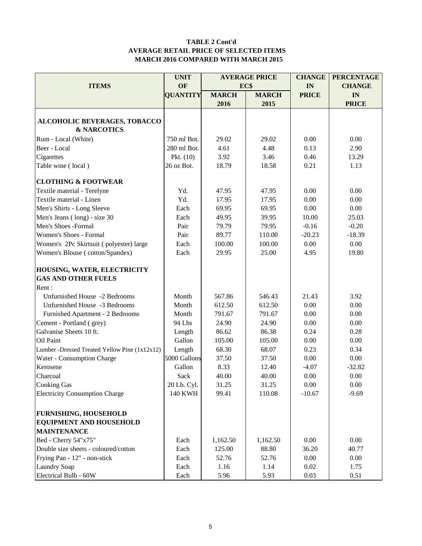#### **TABLE 2 Cont'd AVERAGE RETAIL PRICE OF SELECTED ITEMS MARCH 2016 COMPARED WITH MARCH 2015**

|                                               | <b>UNIT</b>     |              | <b>AVERAGE PRICE</b> | <b>CHANGE</b> | <b>PERCENTAGE</b> |
|-----------------------------------------------|-----------------|--------------|----------------------|---------------|-------------------|
| <b>ITEMS</b>                                  | OF              | EC\$         |                      | IN            | <b>CHANGE</b>     |
|                                               | <b>QUANTITY</b> | <b>MARCH</b> | <b>MARCH</b>         | <b>PRICE</b>  | IN                |
|                                               |                 | 2016         | 2015                 |               | <b>PRICE</b>      |
|                                               |                 |              |                      |               |                   |
| ALCOHOLIC BEVERAGES, TOBACCO                  |                 |              |                      |               |                   |
| <b>&amp; NARCOTICS</b>                        |                 |              |                      |               |                   |
| Rum - Local (White)                           | 750 ml Bot.     | 29.02        | 29.02                | 0.00          | 0.00              |
| Beer - Local                                  | 280 ml Bot.     | 4.61         | 4.48                 | 0.13          | 2.90              |
| Cigarettes                                    | Pkt. $(10)$     | 3.92         | 3.46                 | 0.46          | 13.29             |
| Table wine (local)                            | 26 oz Bot.      | 18.79        | 18.58                | 0.21          | 1.13              |
| <b>CLOTHING &amp; FOOTWEAR</b>                |                 |              |                      |               |                   |
| Textile material - Terelyne                   | Yd.             | 47.95        | 47.95                | 0.00          | 0.00              |
| Textile material - Linen                      | Yd.             | 17.95        | 17.95                | 0.00          | 0.00              |
| Men's Shirts - Long Sleeve                    | Each            | 69.95        | 69.95                | 0.00          | 0.00              |
| Men's Jeans (long) - size 30                  | Each            | 49.95        | 39.95                | 10.00         | 25.03             |
| Men's Shoes -Formal                           | Pair            | 79.79        | 79.95                | $-0.16$       | $-0.20$           |
| Women's Shoes - Formal                        | Pair            | 89.77        | 110.00               | $-20.23$      | $-18.39$          |
| Women's 2Pc Skirtsuit (polyester) large       | Each            | 100.00       | 100.00               | 0.00          | 0.00              |
| Women's Blouse (cotton/Spandex)               | Each            | 29.95        | 25.00                | 4.95          | 19.80             |
| HOUSING, WATER, ELECTRICITY                   |                 |              |                      |               |                   |
| <b>GAS AND OTHER FUELS</b>                    |                 |              |                      |               |                   |
| Rent:                                         |                 |              |                      |               |                   |
| Unfurnished House -2 Bedrooms                 | Month           | 567.86       | 546.43               | 21.43         | 3.92              |
| Unfurnished House -3 Bedrooms                 | Month           | 612.50       | 612.50               | 0.00          | 0.00              |
| Furnished Apartment - 2 Bedrooms              | Month           | 791.67       | 791.67               | 0.00          | 0.00              |
| Cement - Portland (grey)                      | 94 Lbs          | 24.90        | 24.90                | 0.00          | 0.00              |
| Galvanise Sheets 10 ft.                       | Length          | 86.62        | 86.38                | 0.24          | 0.28              |
| Oil Paint                                     | Gallon          | 105.00       | 105.00               | 0.00          | 0.00              |
| Lumber -Dressed Treated Yellow Pine (1x12x12) | Length          | 68.30        | 68.07                | 0.23          | 0.34              |
| Water - Consumption Charge                    | 5000 Gallons    | 37.50        | 37.50                | 0.00          | 0.00              |
| Kerosene                                      | Gallon          | 8.33         | 12.40                | $-4.07$       | $-32.82$          |
| Charcoal                                      | Sack            | 40.00        | 40.00                | 0.00          | 0.00              |
| <b>Cooking Gas</b>                            | 20 Lb. Cyl.     | 31.25        | 31.25                | 0.00          | 0.00              |
| <b>Electricity Consumption Charge</b>         | <b>140 KWH</b>  | 99.41        | 110.08               | $-10.67$      | $-9.69$           |
|                                               |                 |              |                      |               |                   |
| <b>FURNISHING, HOUSEHOLD</b>                  |                 |              |                      |               |                   |
| <b>EQUIPMENT AND HOUSEHOLD</b>                |                 |              |                      |               |                   |
| <b>MAINTENANCE</b>                            |                 |              |                      |               |                   |
| Bed - Cherry 54"x75"                          | Each            | 1,162.50     | 1,162.50             | 0.00          | 0.00              |
| Double size sheets - coloured/cotton          | Each            | 125.00       | 88.80                | 36.20         | 40.77             |
| Frying Pan - 12" - non-stick                  | Each            | 52.76        | 52.76                | 0.00          | 0.00              |
| <b>Laundry Soap</b>                           | Each            | 1.16         | 1.14                 | 0.02          | 1.75              |
| Electrical Bulb - 60W                         | Each            | 5.96         | 5.93                 | 0.03          | 0.51              |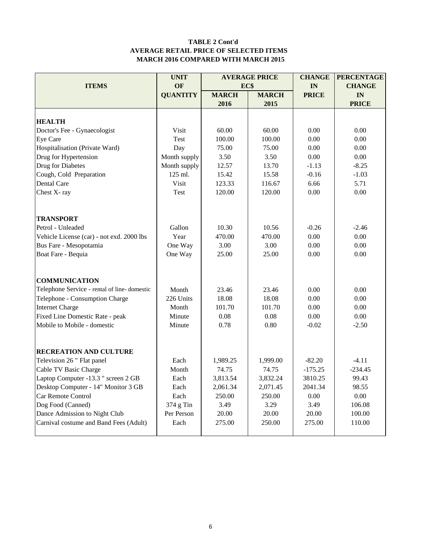#### **TABLE 2 Cont'd AVERAGE RETAIL PRICE OF SELECTED ITEMS MARCH 2016 COMPARED WITH MARCH 2015**

|                                              | <b>UNIT</b>     |              | <b>AVERAGE PRICE</b> | <b>CHANGE</b> | <b>PERCENTAGE</b> |  |
|----------------------------------------------|-----------------|--------------|----------------------|---------------|-------------------|--|
| <b>ITEMS</b>                                 | OF              | EC\$         |                      | IN            | <b>CHANGE</b>     |  |
|                                              | <b>QUANTITY</b> | <b>MARCH</b> | <b>MARCH</b>         | <b>PRICE</b>  | IN                |  |
|                                              |                 | 2016         | 2015                 |               | <b>PRICE</b>      |  |
|                                              |                 |              |                      |               |                   |  |
| <b>HEALTH</b>                                |                 |              |                      |               |                   |  |
| Doctor's Fee - Gynaecologist                 | Visit           | 60.00        | 60.00                | 0.00          | 0.00              |  |
| Eye Care                                     | Test            | 100.00       | 100.00               | 0.00          | 0.00              |  |
| Hospitalisation (Private Ward)               | Day             | 75.00        | 75.00                | 0.00          | 0.00              |  |
| Drug for Hypertension                        | Month supply    | 3.50         | 3.50                 | 0.00          | 0.00              |  |
| Drug for Diabetes                            | Month supply    | 12.57        | 13.70                | $-1.13$       | $-8.25$           |  |
| Cough, Cold Preparation                      | 125 ml.         | 15.42        | 15.58                | $-0.16$       | $-1.03$           |  |
| Dental Care                                  | Visit           | 123.33       | 116.67               | 6.66          | 5.71              |  |
| Chest X-ray                                  | Test            | 120.00       | 120.00               | 0.00          | 0.00              |  |
|                                              |                 |              |                      |               |                   |  |
| <b>TRANSPORT</b>                             |                 |              |                      |               |                   |  |
| Petrol - Unleaded                            | Gallon          | 10.30        | 10.56                | $-0.26$       | $-2.46$           |  |
| Vehicle License (car) - not exd. 2000 lbs    | Year            | 470.00       | 470.00               | 0.00          | 0.00              |  |
| Bus Fare - Mesopotamia                       | One Way         | 3.00         | 3.00                 | 0.00          | $0.00\,$          |  |
| Boat Fare - Bequia                           | One Way         | 25.00        | 25.00                | 0.00          | 0.00              |  |
|                                              |                 |              |                      |               |                   |  |
| <b>COMMUNICATION</b>                         |                 |              |                      |               |                   |  |
| Telephone Service - rental of line- domestic | Month           | 23.46        | 23.46                | 0.00          | 0.00              |  |
| Telephone - Consumption Charge               | 226 Units       | 18.08        | 18.08                | 0.00          | 0.00              |  |
| <b>Internet Charge</b>                       | Month           | 101.70       | 101.70               | 0.00          | 0.00              |  |
| Fixed Line Domestic Rate - peak              | Minute          | 0.08         | 0.08                 | 0.00          | 0.00              |  |
| Mobile to Mobile - domestic                  | Minute          | 0.78         | 0.80                 | $-0.02$       | $-2.50$           |  |
|                                              |                 |              |                      |               |                   |  |
| <b>RECREATION AND CULTURE</b>                |                 |              |                      |               |                   |  |
| Television 26 " Flat panel                   | Each            | 1,989.25     | 1,999.00             | $-82.20$      | $-4.11$           |  |
| Cable TV Basic Charge                        | Month           | 74.75        | 74.75                | $-175.25$     | $-234.45$         |  |
| Laptop Computer -13.3 " screen 2 GB          | Each            | 3,813.54     | 3,832.24             | 3810.25       | 99.43             |  |
| Desktop Computer - 14" Monitor 3 GB          | Each            | 2,061.34     | 2,071.45             | 2041.34       | 98.55             |  |
| Car Remote Control                           | Each            | 250.00       | 250.00               | 0.00          | 0.00              |  |
| Dog Food (Canned)                            | 374 g Tin       | 3.49         | 3.29                 | 3.49          | 106.08            |  |
| Dance Admission to Night Club                | Per Person      | 20.00        | 20.00                | 20.00         | 100.00            |  |
| Carnival costume and Band Fees (Adult)       | Each            | 275.00       | 250.00               | 275.00        | 110.00            |  |
|                                              |                 |              |                      |               |                   |  |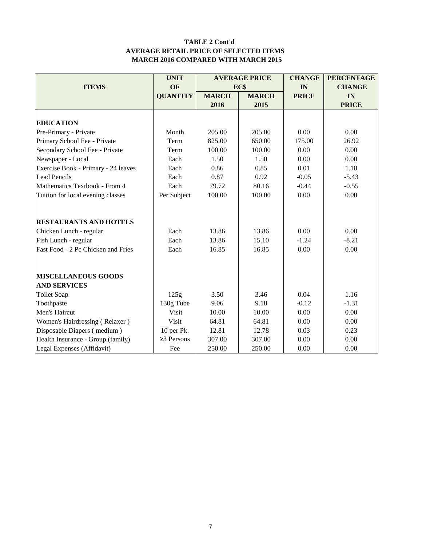#### **TABLE 2 Cont'd AVERAGE RETAIL PRICE OF SELECTED ITEMS MARCH 2016 COMPARED WITH MARCH 2015**

|                                     | <b>UNIT</b>      |              | <b>AVERAGE PRICE</b> | <b>CHANGE</b> | <b>PERCENTAGE</b> |
|-------------------------------------|------------------|--------------|----------------------|---------------|-------------------|
| <b>ITEMS</b>                        | OF               |              | EC\$                 | IN            | <b>CHANGE</b>     |
|                                     | <b>QUANTITY</b>  | <b>MARCH</b> | <b>MARCH</b>         | <b>PRICE</b>  | IN                |
|                                     |                  | 2016         | 2015                 |               | <b>PRICE</b>      |
|                                     |                  |              |                      |               |                   |
| <b>EDUCATION</b>                    |                  |              |                      |               |                   |
| Pre-Primary - Private               | Month            | 205.00       | 205.00               | 0.00          | 0.00              |
| Primary School Fee - Private        | Term             | 825.00       | 650.00               | 175.00        | 26.92             |
| Secondary School Fee - Private      | Term             | 100.00       | 100.00               | 0.00          | 0.00              |
| Newspaper - Local                   | Each             | 1.50         | 1.50                 | 0.00          | 0.00              |
| Exercise Book - Primary - 24 leaves | Each             | 0.86         | 0.85                 | 0.01          | 1.18              |
| <b>Lead Pencils</b>                 | Each             | 0.87         | 0.92                 | $-0.05$       | $-5.43$           |
| Mathematics Textbook - From 4       | Each             | 79.72        | 80.16                | $-0.44$       | $-0.55$           |
| Tuition for local evening classes   | Per Subject      | 100.00       | 100.00               | 0.00          | 0.00              |
|                                     |                  |              |                      |               |                   |
| <b>RESTAURANTS AND HOTELS</b>       |                  |              |                      |               |                   |
| Chicken Lunch - regular             | Each             | 13.86        | 13.86                | 0.00          | 0.00              |
| Fish Lunch - regular                | Each             | 13.86        | 15.10                | $-1.24$       | $-8.21$           |
| Fast Food - 2 Pc Chicken and Fries  | Each             | 16.85        | 16.85                | 0.00          | 0.00              |
|                                     |                  |              |                      |               |                   |
| <b>MISCELLANEOUS GOODS</b>          |                  |              |                      |               |                   |
| <b>AND SERVICES</b>                 |                  |              |                      |               |                   |
| <b>Toilet Soap</b>                  | 125g             | 3.50         | 3.46                 | 0.04          | 1.16              |
| Toothpaste                          | 130g Tube        | 9.06         | 9.18                 | $-0.12$       | $-1.31$           |
| Men's Haircut                       | <b>Visit</b>     | 10.00        | 10.00                | 0.00          | 0.00              |
| Women's Hairdressing (Relaxer)      | Visit            | 64.81        | 64.81                | 0.00          | 0.00              |
| Disposable Diapers (medium)         | 10 per Pk.       | 12.81        | 12.78                | 0.03          | 0.23              |
| Health Insurance - Group (family)   | $\geq$ 3 Persons | 307.00       | 307.00               | 0.00          | 0.00              |
| Legal Expenses (Affidavit)          | Fee              | 250.00       | 250.00               | 0.00          | 0.00              |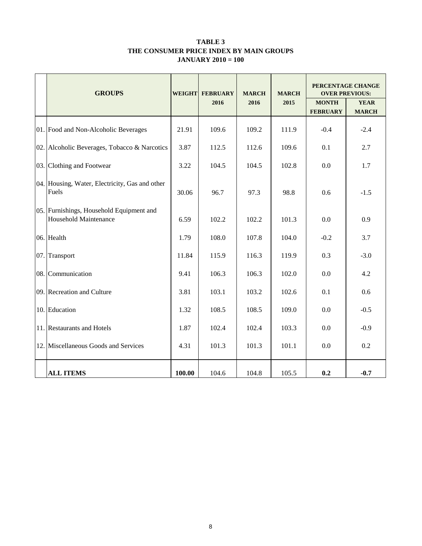#### **TABLE 3 THE CONSUMER PRICE INDEX BY MAIN GROUPS JANUARY 2010 = 100**

| <b>GROUPS</b>                                                     | <b>WEIGHT</b> | <b>FEBRUARY</b> | <b>MARCH</b> | <b>MARCH</b> | PERCENTAGE CHANGE<br><b>OVER PREVIOUS:</b> |                             |  |
|-------------------------------------------------------------------|---------------|-----------------|--------------|--------------|--------------------------------------------|-----------------------------|--|
|                                                                   |               | 2016            | 2016         | 2015         | <b>MONTH</b><br><b>FEBRUARY</b>            | <b>YEAR</b><br><b>MARCH</b> |  |
| 01. Food and Non-Alcoholic Beverages                              | 21.91         | 109.6           | 109.2        | 111.9        | $-0.4$                                     | $-2.4$                      |  |
| 02. Alcoholic Beverages, Tobacco & Narcotics                      | 3.87          | 112.5           | 112.6        | 109.6        | 0.1                                        | 2.7                         |  |
| 03. Clothing and Footwear                                         | 3.22          | 104.5           | 104.5        | 102.8        | 0.0                                        | 1.7                         |  |
| 04. Housing, Water, Electricity, Gas and other<br>Fuels           | 30.06         | 96.7            | 97.3         | 98.8         | 0.6                                        | $-1.5$                      |  |
| 05. Furnishings, Household Equipment and<br>Household Maintenance | 6.59          | 102.2           | 102.2        | 101.3        | 0.0                                        | 0.9                         |  |
| 06. Health                                                        | 1.79          | 108.0           | 107.8        | 104.0        | $-0.2$                                     | 3.7                         |  |
| 07. Transport                                                     | 11.84         | 115.9           | 116.3        | 119.9        | 0.3                                        | $-3.0$                      |  |
| 08. Communication                                                 | 9.41          | 106.3           | 106.3        | 102.0        | 0.0                                        | 4.2                         |  |
| 09. Recreation and Culture                                        | 3.81          | 103.1           | 103.2        | 102.6        | 0.1                                        | 0.6                         |  |
| 10. Education                                                     | 1.32          | 108.5           | 108.5        | 109.0        | 0.0                                        | $-0.5$                      |  |
| 11. Restaurants and Hotels                                        | 1.87          | 102.4           | 102.4        | 103.3        | 0.0                                        | $-0.9$                      |  |
| 12. Miscellaneous Goods and Services                              | 4.31          | 101.3           | 101.3        | 101.1        | 0.0                                        | 0.2                         |  |
| <b>ALL ITEMS</b>                                                  | 100.00        | 104.6           | 104.8        | 105.5        | 0.2                                        | $-0.7$                      |  |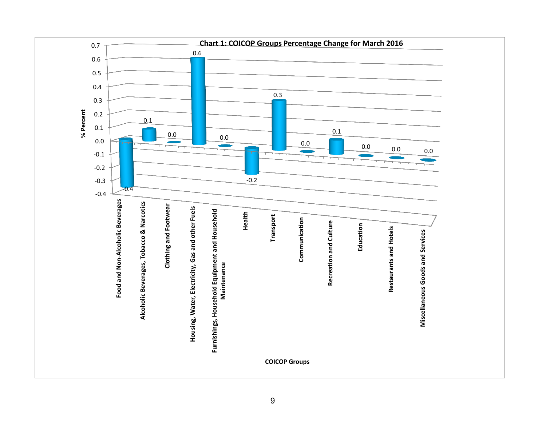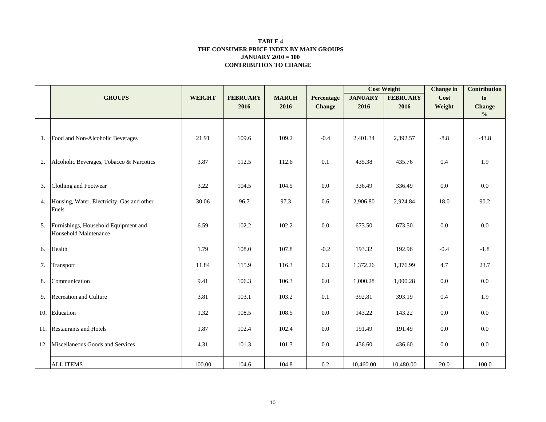#### **CONTRIBUTION TO CHANGE TABLE 4 THE CONSUMER PRICE INDEX BY MAIN GROUPS JANUARY 2010 = 100**

|    |                                                               |               |                 |              |               |                | <b>Cost Weight</b> | <b>Change</b> in | <b>Contribution</b> |
|----|---------------------------------------------------------------|---------------|-----------------|--------------|---------------|----------------|--------------------|------------------|---------------------|
|    | <b>GROUPS</b>                                                 | <b>WEIGHT</b> | <b>FEBRUARY</b> | <b>MARCH</b> | Percentage    | <b>JANUARY</b> | <b>FEBRUARY</b>    | Cost             | to                  |
|    |                                                               |               | 2016            | 2016         | <b>Change</b> | 2016           | 2016               | Weight           | <b>Change</b>       |
|    |                                                               |               |                 |              |               |                |                    |                  | $\frac{0}{0}$       |
|    | 1. Food and Non-Alcoholic Beverages                           | 21.91         | 109.6           | 109.2        | $-0.4$        | 2,401.34       | 2,392.57           | $-8.8$           | $-43.8$             |
| 2. | Alcoholic Beverages, Tobacco & Narcotics                      | 3.87          | 112.5           | 112.6        | 0.1           | 435.38         | 435.76             | $0.4\,$          | 1.9                 |
| 3. | Clothing and Footwear                                         | 3.22          | 104.5           | 104.5        | 0.0           | 336.49         | 336.49             | 0.0              | 0.0                 |
|    | 4. Housing, Water, Electricity, Gas and other<br>Fuels        | 30.06         | 96.7            | 97.3         | 0.6           | 2,906.80       | 2,924.84           | 18.0             | 90.2                |
| 5. | Furnishings, Household Equipment and<br>Household Maintenance | 6.59          | 102.2           | 102.2        | 0.0           | 673.50         | 673.50             | 0.0              | 0.0                 |
| 6. | Health                                                        | 1.79          | 108.0           | 107.8        | $-0.2$        | 193.32         | 192.96             | $-0.4$           | $-1.8$              |
| 7. | Transport                                                     | 11.84         | 115.9           | 116.3        | 0.3           | 1,372.26       | 1,376.99           | 4.7              | 23.7                |
| 8. | Communication                                                 | 9.41          | 106.3           | 106.3        | 0.0           | 1,000.28       | 1,000.28           | $0.0\,$          | 0.0                 |
| 9. | Recreation and Culture                                        | 3.81          | 103.1           | 103.2        | 0.1           | 392.81         | 393.19             | $0.4\,$          | 1.9                 |
|    | 10. Education                                                 | 1.32          | 108.5           | 108.5        | $0.0\,$       | 143.22         | 143.22             | $0.0\,$          | $0.0\,$             |
|    | 11. Restaurants and Hotels                                    | 1.87          | 102.4           | 102.4        | 0.0           | 191.49         | 191.49             | 0.0              | $0.0\,$             |
|    | 12. Miscellaneous Goods and Services                          | 4.31          | 101.3           | 101.3        | 0.0           | 436.60         | 436.60             | 0.0              | $0.0\,$             |
|    | <b>ALL ITEMS</b>                                              | 100.00        | 104.6           | 104.8        | 0.2           | 10,460.00      | 10,480.00          | 20.0             | 100.0               |